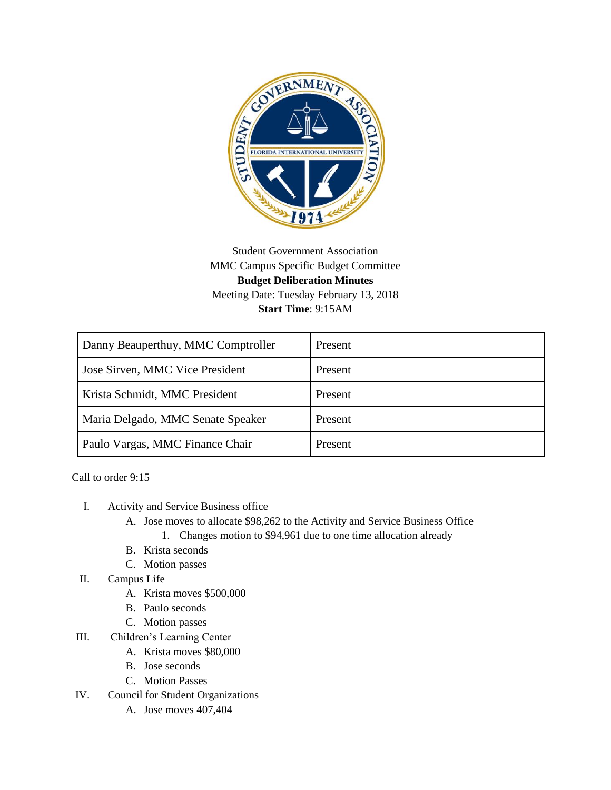

## Student Government Association MMC Campus Specific Budget Committee **Budget Deliberation Minutes** Meeting Date: Tuesday February 13, 2018 **Start Time**: 9:15AM

| Danny Beauperthuy, MMC Comptroller | Present |
|------------------------------------|---------|
| Jose Sirven, MMC Vice President    | Present |
| Krista Schmidt, MMC President      | Present |
| Maria Delgado, MMC Senate Speaker  | Present |
| Paulo Vargas, MMC Finance Chair    | Present |

Call to order 9:15

- I. Activity and Service Business office
	- A. Jose moves to allocate \$98,262 to the Activity and Service Business Office
		- 1. Changes motion to \$94,961 due to one time allocation already
	- B. Krista seconds
	- C. Motion passes
- II. Campus Life
	- A. Krista moves \$500,000
	- B. Paulo seconds
	- C. Motion passes
- III. Children's Learning Center
	- A. Krista moves \$80,000
	- B. Jose seconds
	- C. Motion Passes
- IV. Council for Student Organizations
	- A. Jose moves 407,404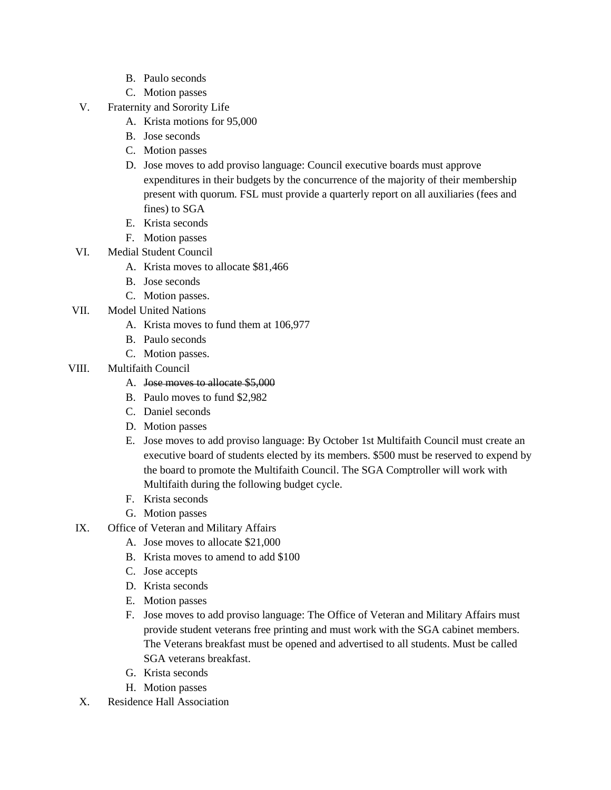- B. Paulo seconds
- C. Motion passes
- V. Fraternity and Sorority Life
	- A. Krista motions for 95,000
	- B. Jose seconds
	- C. Motion passes
	- D. Jose moves to add proviso language: Council executive boards must approve expenditures in their budgets by the concurrence of the majority of their membership present with quorum. FSL must provide a quarterly report on all auxiliaries (fees and fines) to SGA
	- E. Krista seconds
	- F. Motion passes
- VI. Medial Student Council
	- A. Krista moves to allocate \$81,466
	- B. Jose seconds
	- C. Motion passes.
- VII. Model United Nations
	- A. Krista moves to fund them at 106,977
	- B. Paulo seconds
	- C. Motion passes.
- VIII. Multifaith Council

## A. Jose moves to allocate \$5,000

- B. Paulo moves to fund \$2,982
- C. Daniel seconds
- D. Motion passes
- E. Jose moves to add proviso language: By October 1st Multifaith Council must create an executive board of students elected by its members. \$500 must be reserved to expend by the board to promote the Multifaith Council. The SGA Comptroller will work with Multifaith during the following budget cycle.
- F. Krista seconds
- G. Motion passes
- IX. Office of Veteran and Military Affairs
	- A. Jose moves to allocate \$21,000
	- B. Krista moves to amend to add \$100
	- C. Jose accepts
	- D. Krista seconds
	- E. Motion passes
	- F. Jose moves to add proviso language: The Office of Veteran and Military Affairs must provide student veterans free printing and must work with the SGA cabinet members. The Veterans breakfast must be opened and advertised to all students. Must be called SGA veterans breakfast.
	- G. Krista seconds
	- H. Motion passes
- X. Residence Hall Association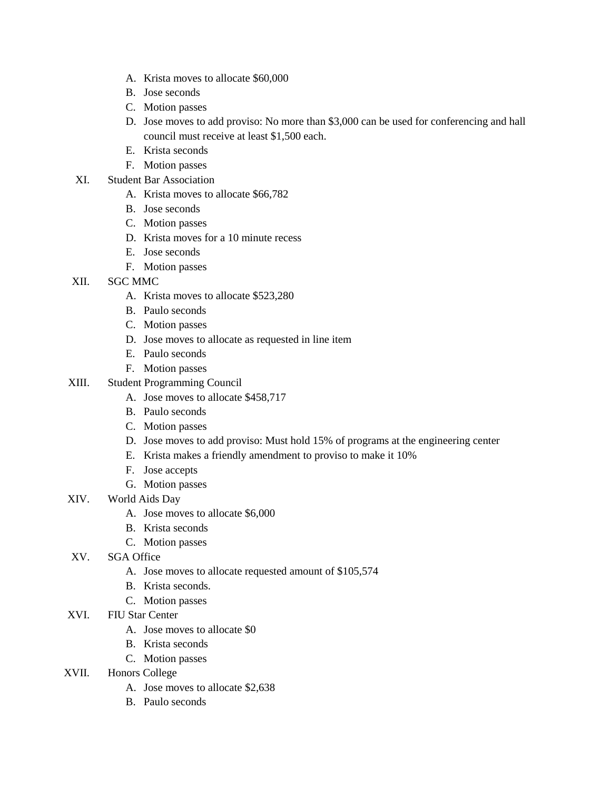- A. Krista moves to allocate \$60,000
- B. Jose seconds
- C. Motion passes
- D. Jose moves to add proviso: No more than \$3,000 can be used for conferencing and hall council must receive at least \$1,500 each.
- E. Krista seconds
- F. Motion passes
- XI. Student Bar Association
	- A. Krista moves to allocate \$66,782
	- B. Jose seconds
	- C. Motion passes
	- D. Krista moves for a 10 minute recess
	- E. Jose seconds
	- F. Motion passes
- XII. SGC MMC
	- A. Krista moves to allocate \$523,280
	- B. Paulo seconds
	- C. Motion passes
	- D. Jose moves to allocate as requested in line item
	- E. Paulo seconds
	- F. Motion passes
- XIII. Student Programming Council
	- A. Jose moves to allocate \$458,717
	- B. Paulo seconds
	- C. Motion passes
	- D. Jose moves to add proviso: Must hold 15% of programs at the engineering center
	- E. Krista makes a friendly amendment to proviso to make it 10%
	- F. Jose accepts
	- G. Motion passes
- XIV. World Aids Day
	- A. Jose moves to allocate \$6,000
	- B. Krista seconds
	- C. Motion passes
- XV. SGA Office
	- A. Jose moves to allocate requested amount of \$105,574
	- B. Krista seconds.
	- C. Motion passes
- XVI. FIU Star Center
	- A. Jose moves to allocate \$0
	- B. Krista seconds
	- C. Motion passes
- XVII. Honors College
	- A. Jose moves to allocate \$2,638
	- B. Paulo seconds